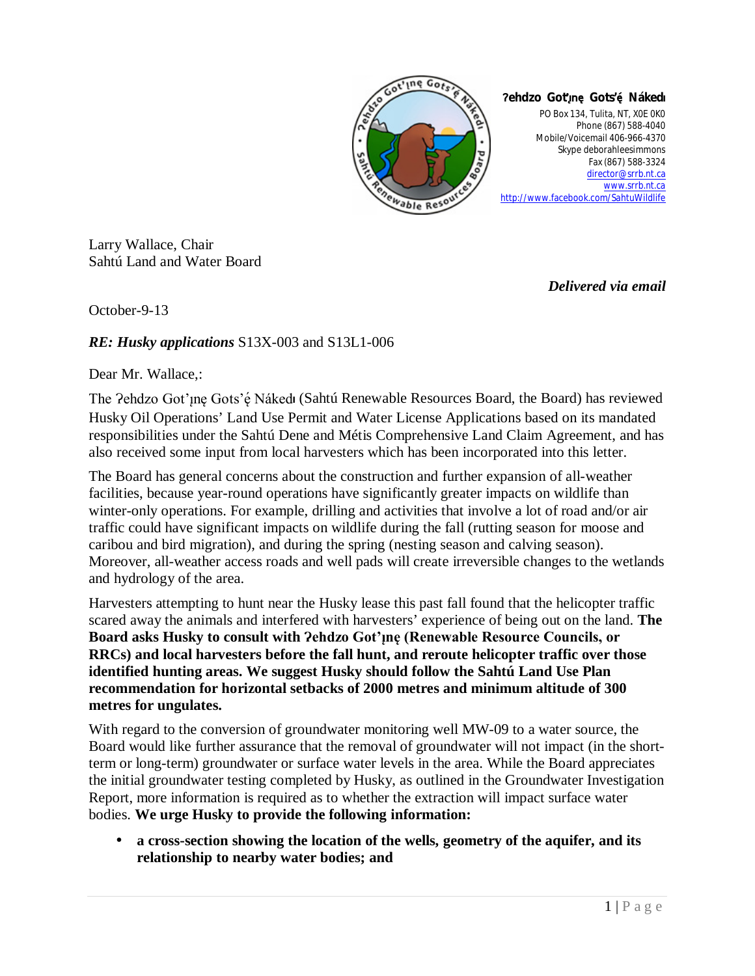

**Ɂehdzo Got'ı̨nę Gots' Nákedı** PO Box 134, Tulita, NT, X0E 0K0 Phone (867) 588-4040 Mobile/Voicemail 406-966-4370 Skype deborahleesimmons Fax (867) 588-3324 [director@srrb.nt.ca](mailto:director@srrb.nt.ca) [www.srrb.nt.ca](http://www.srrb.nt.ca/) <http://www.facebook.com/SahtuWildlife>

Larry Wallace, Chair Sahtú Land and Water Board

*Delivered via email*

October-9-13

## *RE: Husky applications* S13X-003 and S13L1-006

Dear Mr. Wallace,:

The ?ehdzo Got'µnę Gots'ę́ Nákedi (Sahtú Renewable Resources Board, the Board) has reviewed Husky Oil Operations' Land Use Permit and Water License Applications based on its mandated responsibilities under the Sahtú Dene and Métis Comprehensive Land Claim Agreement, and has also received some input from local harvesters which has been incorporated into this letter.

The Board has general concerns about the construction and further expansion of all-weather facilities, because year-round operations have significantly greater impacts on wildlife than winter-only operations. For example, drilling and activities that involve a lot of road and/or air traffic could have significant impacts on wildlife during the fall (rutting season for moose and caribou and bird migration), and during the spring (nesting season and calving season). Moreover, all-weather access roads and well pads will create irreversible changes to the wetlands and hydrology of the area.

Harvesters attempting to hunt near the Husky lease this past fall found that the helicopter traffic scared away the animals and interfered with harvesters' experience of being out on the land. **The**  Board asks Husky to consult with ?ehdzo Got'ınę (Renewable Resource Councils, or **RRCs) and local harvesters before the fall hunt, and reroute helicopter traffic over those identified hunting areas. We suggest Husky should follow the Sahtú Land Use Plan recommendation for horizontal setbacks of 2000 metres and minimum altitude of 300 metres for ungulates.** 

With regard to the conversion of groundwater monitoring well MW-09 to a water source, the Board would like further assurance that the removal of groundwater will not impact (in the shortterm or long-term) groundwater or surface water levels in the area. While the Board appreciates the initial groundwater testing completed by Husky, as outlined in the Groundwater Investigation Report, more information is required as to whether the extraction will impact surface water bodies. **We urge Husky to provide the following information:**

**a cross-section showing the location of the wells, geometry of the aquifer, and its**   $\epsilon$ **relationship to nearby water bodies; and**